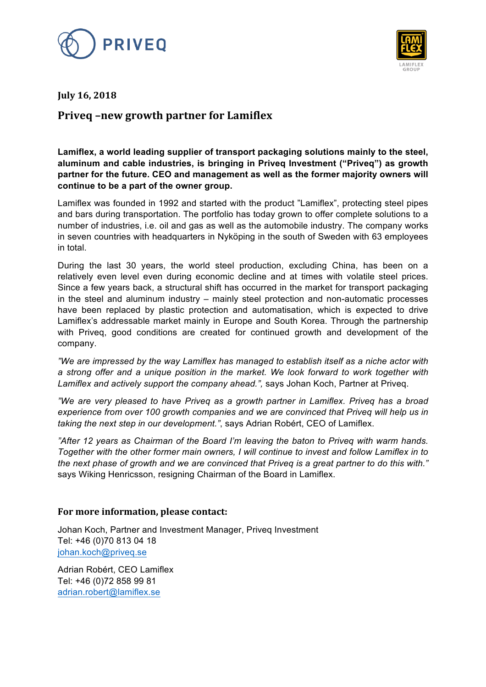



**July 16, 2018**

## **Priveq -new growth partner for Lamiflex**

**Lamiflex, a world leading supplier of transport packaging solutions mainly to the steel, aluminum and cable industries, is bringing in Priveq Investment ("Priveq") as growth partner for the future. CEO and management as well as the former majority owners will continue to be a part of the owner group.**

Lamiflex was founded in 1992 and started with the product "Lamiflex", protecting steel pipes and bars during transportation. The portfolio has today grown to offer complete solutions to a number of industries, i.e. oil and gas as well as the automobile industry. The company works in seven countries with headquarters in Nyköping in the south of Sweden with 63 employees in total.

During the last 30 years, the world steel production, excluding China, has been on a relatively even level even during economic decline and at times with volatile steel prices. Since a few years back, a structural shift has occurred in the market for transport packaging in the steel and aluminum industry – mainly steel protection and non-automatic processes have been replaced by plastic protection and automatisation, which is expected to drive Lamiflex's addressable market mainly in Europe and South Korea. Through the partnership with Priveq, good conditions are created for continued growth and development of the company.

*"We are impressed by the way Lamiflex has managed to establish itself as a niche actor with a strong offer and a unique position in the market. We look forward to work together with Lamiflex and actively support the company ahead.",* says Johan Koch, Partner at Priveq.

*"We are very pleased to have Priveq as a growth partner in Lamiflex. Priveq has a broad experience from over 100 growth companies and we are convinced that Priveq will help us in taking the next step in our development."*, says Adrian Robért, CEO of Lamiflex.

*"After 12 years as Chairman of the Board I'm leaving the baton to Priveq with warm hands. Together with the other former main owners, I will continue to invest and follow Lamiflex in to the next phase of growth and we are convinced that Priveq is a great partner to do this with."*  says Wiking Henricsson, resigning Chairman of the Board in Lamiflex.

## For more information, please contact:

Johan Koch, Partner and Investment Manager, Priveq Investment Tel: +46 (0)70 813 04 18 johan.koch@priveq.se

Adrian Robért, CEO Lamiflex Tel: +46 (0)72 858 99 81 adrian.robert@lamiflex.se